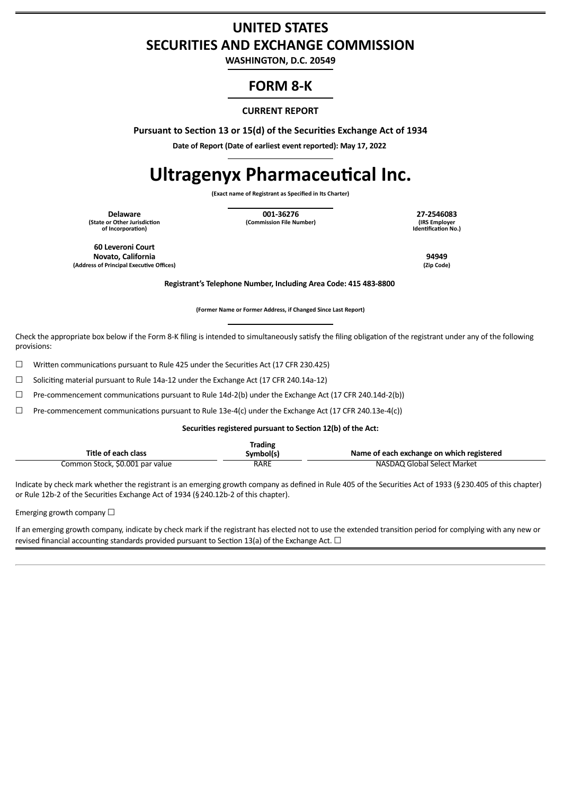## **UNITED STATES SECURITIES AND EXCHANGE COMMISSION**

**WASHINGTON, D.C. 20549**

## **FORM 8-K**

#### **CURRENT REPORT**

**Pursuant to Section 13 or 15(d) of the Securities Exchange Act of 1934**

**Date of Report (Date of earliest event reported): May 17, 2022**

# **Ultragenyx Pharmaceutical Inc.**

**(Exact name of Registrant as Specified in Its Charter)**

**(State or Other Jurisdiction of Incorporation)**

**Delaware 001-36276 27-2546083 (Commission File Number)** 

**Identification No.)**

**60 Leveroni Court Novato, California 94949 (Address of Principal Executive Offices) (Zip Code)**

**Registrant's Telephone Number, Including Area Code: 415 483-8800**

**(Former Name or Former Address, if Changed Since Last Report)**

Check the appropriate box below if the Form 8-K filing is intended to simultaneously satisfy the filing obligation of the registrant under any of the following provisions:

 $\Box$  Written communications pursuant to Rule 425 under the Securities Act (17 CFR 230.425)

☐ Soliciting material pursuant to Rule 14a-12 under the Exchange Act (17 CFR 240.14a-12)

☐ Pre-commencement communications pursuant to Rule 14d-2(b) under the Exchange Act (17 CFR 240.14d-2(b))

☐ Pre-commencement communications pursuant to Rule 13e-4(c) under the Exchange Act (17 CFR 240.13e-4(c))

**Securities registered pursuant to Section 12(b) of the Act:**

| Title of each class             | Trading<br>Symbol(s) | Name of each exchange on which registered |
|---------------------------------|----------------------|-------------------------------------------|
|                                 |                      |                                           |
| Common Stock, \$0.001 par value | <b>RARE</b>          | NASDAQ Global Select Market               |

Indicate by check mark whether the registrant is an emerging growth company as defined in Rule 405 of the Securities Act of 1933 (§230.405 of this chapter) or Rule 12b-2 of the Securities Exchange Act of 1934 (§240.12b-2 of this chapter).

Emerging growth company  $\Box$ 

If an emerging growth company, indicate by check mark if the registrant has elected not to use the extended transition period for complying with any new or revised financial accounting standards provided pursuant to Section 13(a) of the Exchange Act.  $\Box$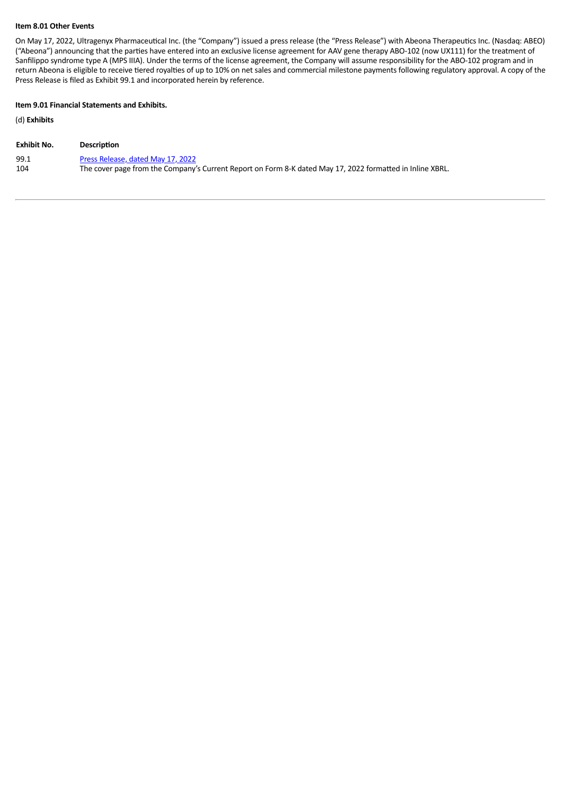#### **Item 8.01 Other Events**

On May 17, 2022, Ultragenyx Pharmaceutical Inc. (the "Company") issued a press release (the "Press Release") with Abeona Therapeutics Inc. (Nasdaq: ABEO) ("Abeona") announcing that the parties have entered into an exclusive license agreement for AAV gene therapy ABO-102 (now UX111) for the treatment of Sanfilippo syndrome type A (MPS IIIA). Under the terms of the license agreement, the Company will assume responsibility for the ABO-102 program and in return Abeona is eligible to receive tiered royalties of up to 10% on net sales and commercial milestone payments following regulatory approval. A copy of the Press Release is filed as Exhibit 99.1 and incorporated herein by reference.

#### **Item 9.01 Financial Statements and Exhibits.**

(d) **Exhibits**

| Exhibit No. | <b>Description</b>                                                                                        |
|-------------|-----------------------------------------------------------------------------------------------------------|
| 99.1        | Press Release, dated May 17, 2022                                                                         |
| 104         | The cover page from the Company's Current Report on Form 8-K dated May 17, 2022 formatted in Inline XBRL. |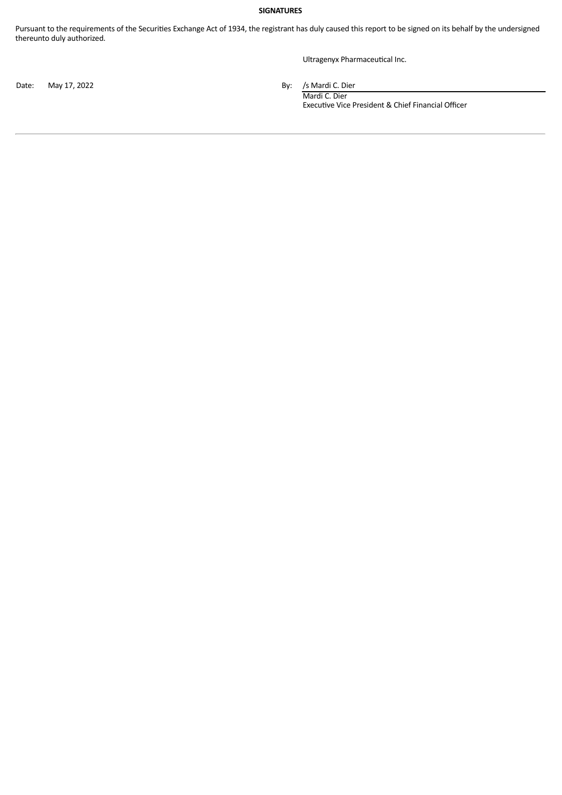#### **SIGNATURES**

Pursuant to the requirements of the Securities Exchange Act of 1934, the registrant has duly caused this report to be signed on its behalf by the undersigned thereunto duly authorized.

Ultragenyx Pharmaceutical Inc.

Date: May 17, 2022 **By:** /s Mardi C. Dier

Mardi C. Dier Executive Vice President & Chief Financial Officer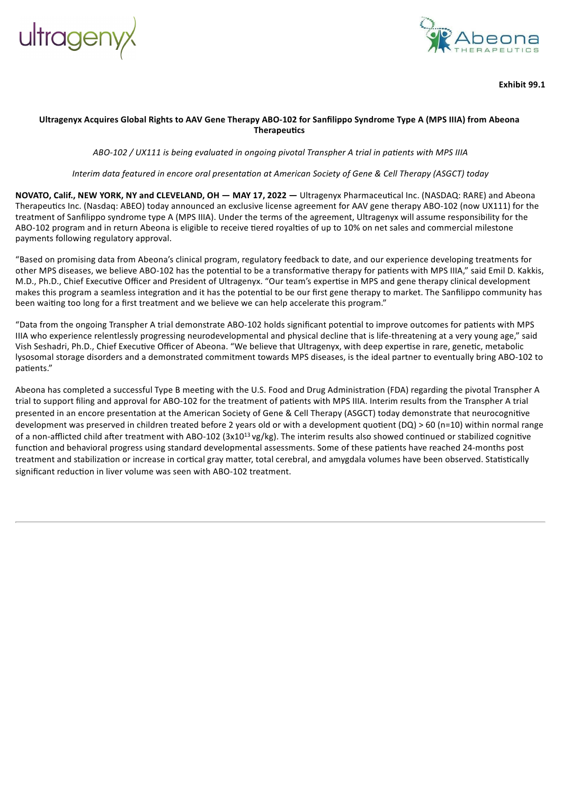<span id="page-3-0"></span>



**Exhibit 99.1**

#### Ultragenyx Acquires Global Rights to AAV Gene Therapy ABO-102 for Sanfilippo Syndrome Type A (MPS IIIA) from Abeona **Therapeutics**

*ABO-102 / UX111 is being evaluated in ongoing pivotal Transpher A trial in patients with MPS IIIA*

Interim data featured in encore oral presentation at American Society of Gene & Cell Therapy (ASGCT) today

**NOVATO, Calif., NEW YORK, NY and CLEVELAND, OH — MAY 17, 2022 —** Ultragenyx Pharmaceutical Inc. (NASDAQ: RARE) and Abeona Therapeutics Inc. (Nasdaq: ABEO) today announced an exclusive license agreement for AAV gene therapy ABO-102 (now UX111) for the treatment of Sanfilippo syndrome type A (MPS IIIA). Under the terms of the agreement, Ultragenyx will assume responsibility for the ABO-102 program and in return Abeona is eligible to receive tiered royalties of up to 10% on net sales and commercial milestone payments following regulatory approval.

"Based on promising data from Abeona's clinical program, regulatory feedback to date, and our experience developing treatments for other MPS diseases, we believe ABO-102 has the potential to be a transformative therapy for patients with MPS IIIA," said Emil D. Kakkis, M.D., Ph.D., Chief Executive Officer and President of Ultragenyx. "Our team's expertise in MPS and gene therapy clinical development makes this program a seamless integration and it has the potential to be our first gene therapy to market. The Sanfilippo community has been waiting too long for a first treatment and we believe we can help accelerate this program."

"Data from the ongoing Transpher A trial demonstrate ABO-102 holds significant potential to improve outcomes for patients with MPS IIIA who experience relentlessly progressing neurodevelopmental and physical decline that is life-threatening at a very young age," said Vish Seshadri, Ph.D., Chief Executive Officer of Abeona. "We believe that Ultragenyx, with deep expertise in rare, genetic, metabolic lysosomal storage disorders and a demonstrated commitment towards MPS diseases, is the ideal partner to eventually bring ABO-102 to patients."

Abeona has completed a successful Type B meeting with the U.S. Food and Drug Administration (FDA) regarding the pivotal Transpher A trial to support filing and approval for ABO-102 for the treatment of patients with MPS IIIA. Interim results from the Transpher A trial presented in an encore presentation at the American Society of Gene & Cell Therapy (ASGCT) today demonstrate that neurocognitive development was preserved in children treated before 2 years old or with a development quotient (DQ) > 60 (n=10) within normal range of a non-afflicted child after treatment with ABO-102 (3x10<sup>13</sup> vg/kg). The interim results also showed continued or stabilized cognitive function and behavioral progress using standard developmental assessments. Some of these patients have reached 24-months post treatment and stabilization or increase in cortical gray matter, total cerebral, and amygdala volumes have been observed. Statistically significant reduction in liver volume was seen with ABO-102 treatment.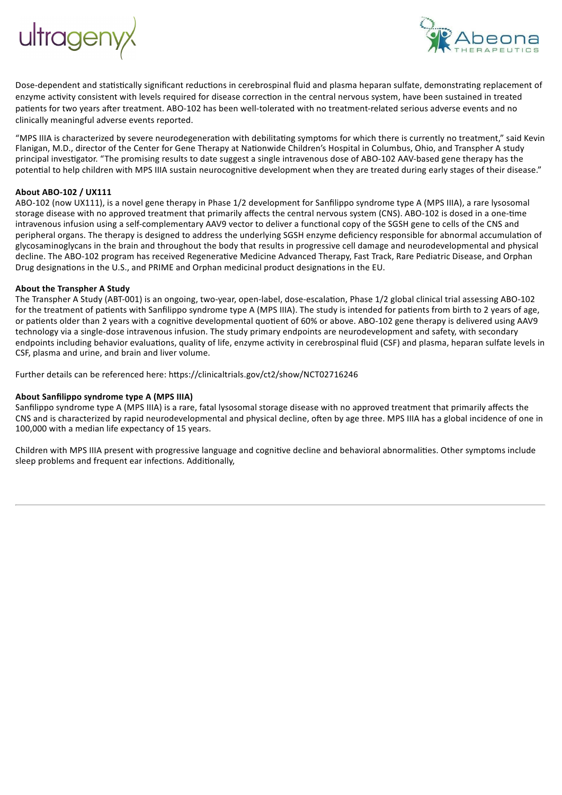



Dose-dependent and statistically significant reductions in cerebrospinal fluid and plasma heparan sulfate, demonstrating replacement of enzyme activity consistent with levels required for disease correction in the central nervous system, have been sustained in treated patients for two years after treatment. ABO-102 has been well-tolerated with no treatment-related serious adverse events and no clinically meaningful adverse events reported.

"MPS IIIA is characterized by severe neurodegeneration with debilitating symptoms for which there is currently no treatment," said Kevin Flanigan, M.D., director of the Center for Gene Therapy at Nationwide Children's Hospital in Columbus, Ohio, and Transpher A study principal investigator. "The promising results to date suggest a single intravenous dose of ABO-102 AAV-based gene therapy has the potential to help children with MPS IIIA sustain neurocognitive development when they are treated during early stages of their disease."

#### **About ABO-102 / UX111**

ABO-102 (now UX111), is a novel gene therapy in Phase 1/2 development for Sanfilippo syndrome type A (MPS IIIA), a rare lysosomal storage disease with no approved treatment that primarily affects the central nervous system (CNS). ABO-102 is dosed in a one-time intravenous infusion using a self-complementary AAV9 vector to deliver a functional copy of the SGSH gene to cells of the CNS and peripheral organs. The therapy is designed to address the underlying SGSH enzyme deficiency responsible for abnormal accumulation of glycosaminoglycans in the brain and throughout the body that results in progressive cell damage and neurodevelopmental and physical decline. The ABO-102 program has received Regenerative Medicine Advanced Therapy, Fast Track, Rare Pediatric Disease, and Orphan Drug designations in the U.S., and PRIME and Orphan medicinal product designations in the EU.

#### **About the Transpher A Study**

The Transpher A Study (ABT-001) is an ongoing, two-year, open-label, dose-escalation, Phase 1/2 global clinical trial assessing ABO-102 for the treatment of patients with Sanfilippo syndrome type A (MPS IIIA). The study is intended for patients from birth to 2 years of age, or patients older than 2 years with a cognitive developmental quotient of 60% or above. ABO-102 gene therapy is delivered using AAV9 technology via a single-dose intravenous infusion. The study primary endpoints are neurodevelopment and safety, with secondary endpoints including behavior evaluations, quality of life, enzyme activity in cerebrospinal fluid (CSF) and plasma, heparan sulfate levels in CSF, plasma and urine, and brain and liver volume.

Further details can be referenced here: https://clinicaltrials.gov/ct2/show/NCT02716246

#### **About Sanfilippo syndrome type A (MPS IIIA)**

Sanfilippo syndrome type A (MPS IIIA) is a rare, fatal lysosomal storage disease with no approved treatment that primarily affects the CNS and is characterized by rapid neurodevelopmental and physical decline, often by age three. MPS IIIA has a global incidence of one in 100,000 with a median life expectancy of 15 years.

Children with MPS IIIA present with progressive language and cognitive decline and behavioral abnormalities. Other symptoms include sleep problems and frequent ear infections. Additionally,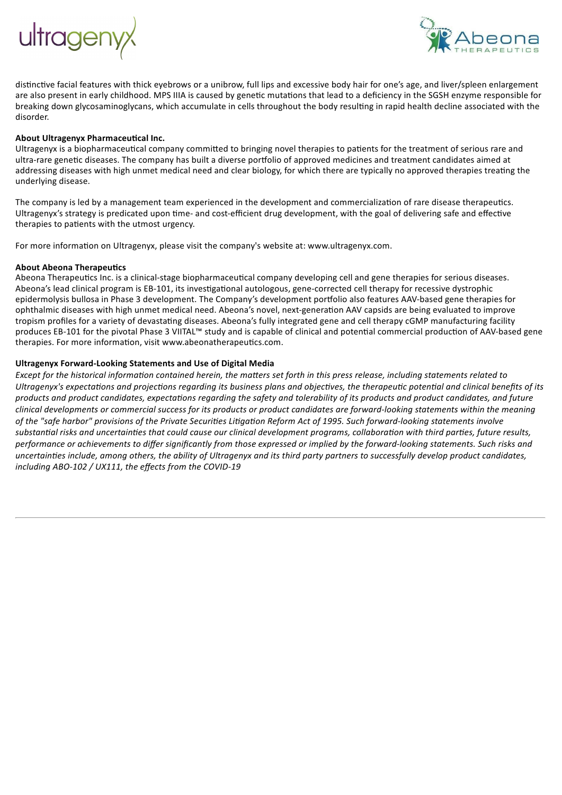



distinctive facial features with thick eyebrows or a unibrow, full lips and excessive body hair for one's age, and liver/spleen enlargement are also present in early childhood. MPS IIIA is caused by genetic mutations that lead to a deficiency in the SGSH enzyme responsible for breaking down glycosaminoglycans, which accumulate in cells throughout the body resulting in rapid health decline associated with the disorder.

#### **About Ultragenyx Pharmaceutical Inc.**

Ultragenyx is a biopharmaceutical company committed to bringing novel therapies to patients for the treatment of serious rare and ultra-rare genetic diseases. The company has built a diverse portfolio of approved medicines and treatment candidates aimed at addressing diseases with high unmet medical need and clear biology, for which there are typically no approved therapies treating the underlying disease.

The company is led by a management team experienced in the development and commercialization of rare disease therapeutics. Ultragenyx's strategy is predicated upon time- and cost-efficient drug development, with the goal of delivering safe and effective therapies to patients with the utmost urgency.

For more information on Ultragenyx, please visit the company's website at: www.ultragenyx.com.

#### **About Abeona Therapeutics**

Abeona Therapeutics Inc. is a clinical-stage biopharmaceutical company developing cell and gene therapies for serious diseases. Abeona's lead clinical program is EB-101, its investigational autologous, gene-corrected cell therapy for recessive dystrophic epidermolysis bullosa in Phase 3 development. The Company's development portfolio also features AAV-based gene therapies for ophthalmic diseases with high unmet medical need. Abeona's novel, next-generation AAV capsids are being evaluated to improve tropism profiles for a variety of devastating diseases. Abeona's fully integrated gene and cell therapy cGMP manufacturing facility produces EB-101 for the pivotal Phase 3 VIITAL™ study and is capable of clinical and potential commercial production of AAV-based gene therapies. For more information, visit www.abeonatherapeutics.com.

#### **Ultragenyx Forward-Looking Statements and Use of Digital Media**

Except for the historical information contained herein, the matters set forth in this press release, including statements related to Ultragenyx's expectations and projections regarding its business plans and objectives, the therapeutic potential and clinical benefits of its products and product candidates, expectations regarding the safety and tolerability of its products and product candidates, and future clinical developments or commercial success for its products or product candidates are forward-looking statements within the meaning of the "safe harbor" provisions of the Private Securities Litigation Reform Act of 1995. Such forward-looking statements involve substantial risks and uncertainties that could cause our clinical development programs, collaboration with third parties, future results, performance or achievements to differ significantly from those expressed or implied by the forward-looking statements. Such risks and uncertainties include, among others, the ability of Ultragenyx and its third party partners to successfully develop product candidates, *including ABO-102 / UX111, the effects from the COVID-19*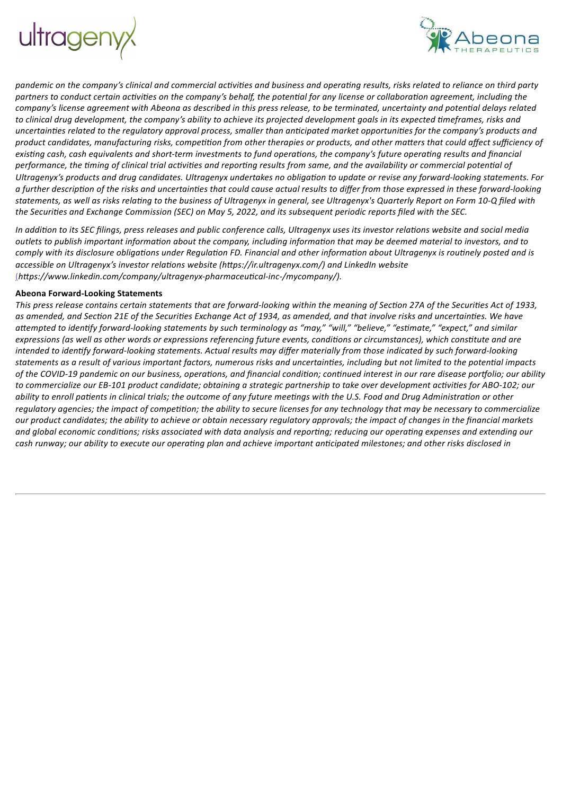



pandemic on the company's clinical and commercial activities and business and operating results, risks related to reliance on third party partners to conduct certain activities on the company's behalf, the potential for any license or collaboration agreement, including the company's license agreement with Abeona as described in this press release, to be terminated, uncertainty and potential delays related to clinical drug development, the company's ability to achieve its projected development goals in its expected timeframes, risks and uncertainties related to the requlatory approval process, smaller than anticipated market opportunities for the company's products and product candidates, manufacturing risks, competition from other therapies or products, and other matters that could affect sufficiency of existing cash, cash equivalents and short-term investments to fund operations, the company's future operating results and financial performance, the timing of clinical trial activities and reporting results from same, and the availability or commercial potential of Ultragenyx's products and drug candidates. Ultragenyx undertakes no obligation to update or revise any forward-looking statements. For a further description of the risks and uncertainties that could cause actual results to differ from those expressed in these forward-looking statements, as well as risks relating to the business of Ultragenyx in general, see Ultragenyx's Quarterly Report on Form 10-Q filed with the Securities and Exchange Commission (SEC) on May 5, 2022, and its subsequent periodic reports filed with the SEC.

In addition to its SEC filings, press releases and public conference calls, Ultragenyx uses its investor relations website and social media outlets to publish important information about the company, including information that may be deemed material to investors, and to comply with its disclosure obligations under Regulation FD. Financial and other information about Ultragenyx is routinely posted and is *accessible on Ultragenyx's investor relations website (https://ir.ultragenyx.com/) and LinkedIn website* (*https://www.linkedin.com/company/ultragenyx-pharmaceutical-inc-/mycompany/).*

#### **Abeona Forward-Looking Statements**

This press release contains certain statements that are forward-looking within the meaning of Section 27A of the Securities Act of 1933, as amended, and Section 21E of the Securities Exchange Act of 1934, as amended, and that involve risks and uncertainties. We have attempted to identify forward-looking statements by such terminology as "may," "will," "believe," "estimate," "expect," and similar expressions (as well as other words or expressions referencing future events, conditions or circumstances), which constitute and are intended to identify forward-looking statements. Actual results may differ materially from those indicated by such forward-looking statements as a result of various important factors, numerous risks and uncertainties, including but not limited to the potential impacts of the COVID-19 pandemic on our business, operations, and financial condition; continued interest in our rare disease portfolio; our ability to commercialize our EB-101 product candidate; obtaining a strategic partnership to take over development activities for ABO-102; our ability to enroll patients in clinical trials; the outcome of any future meetings with the U.S. Food and Drug Administration or other regulatory agencies; the impact of competition; the ability to secure licenses for any technology that may be necessary to commercialize our product candidates; the ability to achieve or obtain necessary regulatory approvals; the impact of changes in the financial markets and alobal economic conditions: risks associated with data analysis and reportina: reducina our operatina expenses and extendina our cash runway; our ability to execute our operating plan and achieve important anticipated milestones; and other risks disclosed in